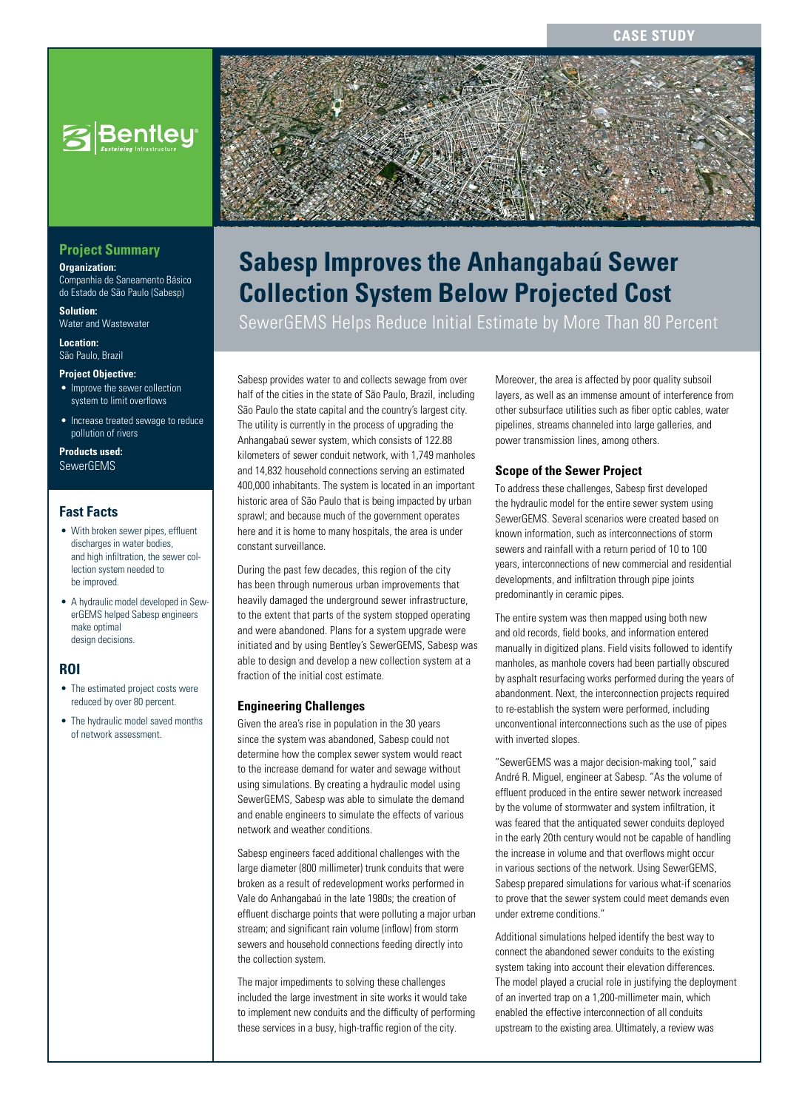**CASE STUDY**



### **Project Summary**

**Organization:** 

Companhia de Saneamento Básico do Estado de São Paulo (Sabesp)

**Solution:**  Water and Wastewater

**Location:**  São Paulo, Brazil

#### **Project Objective:**

- Improve the sewer collection system to limit overflows
- Increase treated sewage to reduce pollution of rivers

**Products used:** SewerGEMS

### **Fast Facts**

- With broken sewer pipes, effluent discharges in water bodies, and high infiltration, the sewer collection system needed to be improved.
- A hydraulic model developed in SewerGEMS helped Sabesp engineers make optimal design decisions.

### **ROI**

- The estimated project costs were reduced by over 80 percent.
- The hydraulic model saved months of network assessment.



# **Sabesp Improves the Anhangabaú Sewer Collection System Below Projected Cost**

SewerGEMS Helps Reduce Initial Estimate by More Than 80 Percent

Sabesp provides water to and collects sewage from over half of the cities in the state of São Paulo, Brazil, including São Paulo the state capital and the country's largest city. The utility is currently in the process of upgrading the Anhangabaú sewer system, which consists of 122.88 kilometers of sewer conduit network, with 1,749 manholes and 14,832 household connections serving an estimated 400,000 inhabitants. The system is located in an important historic area of São Paulo that is being impacted by urban sprawl; and because much of the government operates here and it is home to many hospitals, the area is under constant surveillance.

During the past few decades, this region of the city has been through numerous urban improvements that heavily damaged the underground sewer infrastructure, to the extent that parts of the system stopped operating and were abandoned. Plans for a system upgrade were initiated and by using Bentley's SewerGEMS, Sabesp was able to design and develop a new collection system at a fraction of the initial cost estimate.

### **Engineering Challenges**

Given the area's rise in population in the 30 years since the system was abandoned, Sabesp could not determine how the complex sewer system would react to the increase demand for water and sewage without using simulations. By creating a hydraulic model using SewerGEMS, Sabesp was able to simulate the demand and enable engineers to simulate the effects of various network and weather conditions.

Sabesp engineers faced additional challenges with the large diameter (800 millimeter) trunk conduits that were broken as a result of redevelopment works performed in Vale do Anhangabaú in the late 1980s; the creation of effluent discharge points that were polluting a major urban stream; and significant rain volume (inflow) from storm sewers and household connections feeding directly into the collection system.

The major impediments to solving these challenges included the large investment in site works it would take to implement new conduits and the difficulty of performing these services in a busy, high-traffic region of the city.

Moreover, the area is affected by poor quality subsoil layers, as well as an immense amount of interference from other subsurface utilities such as fiber optic cables, water pipelines, streams channeled into large galleries, and power transmission lines, among others.

### **Scope of the Sewer Project**

To address these challenges, Sabesp first developed the hydraulic model for the entire sewer system using SewerGEMS. Several scenarios were created based on known information, such as interconnections of storm sewers and rainfall with a return period of 10 to 100 years, interconnections of new commercial and residential developments, and infiltration through pipe joints predominantly in ceramic pipes.

The entire system was then mapped using both new and old records, field books, and information entered manually in digitized plans. Field visits followed to identify manholes, as manhole covers had been partially obscured by asphalt resurfacing works performed during the years of abandonment. Next, the interconnection projects required to re-establish the system were performed, including unconventional interconnections such as the use of pipes with inverted slopes.

"SewerGEMS was a major decision-making tool," said André R. Miguel, engineer at Sabesp. "As the volume of effluent produced in the entire sewer network increased by the volume of stormwater and system infiltration, it was feared that the antiquated sewer conduits deployed in the early 20th century would not be capable of handling the increase in volume and that overflows might occur in various sections of the network. Using SewerGEMS, Sabesp prepared simulations for various what-if scenarios to prove that the sewer system could meet demands even under extreme conditions."

Additional simulations helped identify the best way to connect the abandoned sewer conduits to the existing system taking into account their elevation differences. The model played a crucial role in justifying the deployment of an inverted trap on a 1,200-millimeter main, which enabled the effective interconnection of all conduits upstream to the existing area. Ultimately, a review was